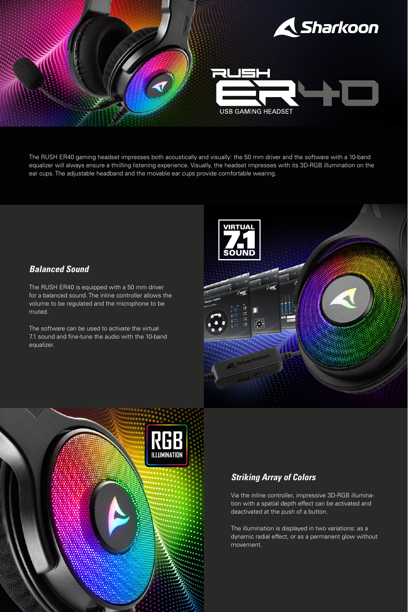

The RUSH ER40 gaming headset impresses both acoustically and visually: the 50 mm driver and the software with a 10-band equalizer will always ensure a thrilling listening experience. Visually, the headset impresses with its 3D-RGB illumination on the ear cups. The adjustable headband and the movable ear cups provide comfortable wearing.

## *Balanced Sound*

The RUSH ER40 is equipped with a 50 mm driver for a balanced sound. The inline controller allows the volume to be regulated and the microphone to be muted.

The software can be used to activate the virtual 7.1 sound and fine-tune the audio with the 10-band equalizer.





## *Striking Array of Colors*

Via the inline controller, impressive 3D-RGB illumination with a spatial depth effect can be activated and deactivated at the push of a button.

The illumination is displayed in two variations: as a dynamic radial effect, or as a permanent glow without movement.